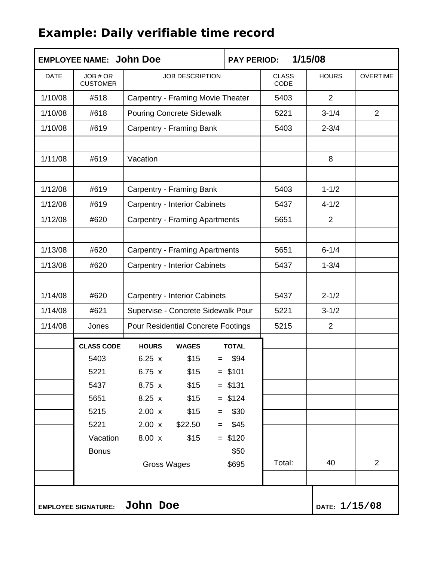## **Example: Daily verifiable time record**

| <b>EMPLOYEE NAME: John Doe</b> |                             |                                           | <b>PAY PERIOD:</b> | 1/15/08                     |                |                 |  |
|--------------------------------|-----------------------------|-------------------------------------------|--------------------|-----------------------------|----------------|-----------------|--|
| <b>DATE</b>                    | JOB # OR<br><b>CUSTOMER</b> | <b>JOB DESCRIPTION</b>                    |                    | <b>CLASS</b><br><b>CODE</b> | <b>HOURS</b>   | <b>OVERTIME</b> |  |
| 1/10/08                        | #518                        | Carpentry - Framing Movie Theater         | 5403               | $\overline{2}$              |                |                 |  |
| 1/10/08                        | #618                        | <b>Pouring Concrete Sidewalk</b>          | 5221               | $3 - 1/4$                   | $\overline{2}$ |                 |  |
| 1/10/08                        | #619                        | Carpentry - Framing Bank                  |                    | 5403                        | $2 - 3/4$      |                 |  |
|                                |                             |                                           |                    |                             |                |                 |  |
| 1/11/08                        | #619                        | Vacation                                  |                    |                             | 8              |                 |  |
|                                |                             |                                           |                    |                             |                |                 |  |
| 1/12/08                        | #619                        | <b>Carpentry - Framing Bank</b>           | 5403               | $1 - 1/2$                   |                |                 |  |
| 1/12/08                        | #619                        | <b>Carpentry - Interior Cabinets</b>      | 5437               | $4 - 1/2$                   |                |                 |  |
| 1/12/08                        | #620                        | <b>Carpentry - Framing Apartments</b>     |                    | 5651                        | $\overline{2}$ |                 |  |
|                                |                             |                                           |                    |                             |                |                 |  |
| 1/13/08                        | #620                        | <b>Carpentry - Framing Apartments</b>     | 5651               | $6 - 1/4$                   |                |                 |  |
| 1/13/08                        | #620                        | <b>Carpentry - Interior Cabinets</b>      |                    | 5437                        | $1 - 3/4$      |                 |  |
|                                |                             |                                           |                    |                             |                |                 |  |
| 1/14/08                        | #620                        | <b>Carpentry - Interior Cabinets</b>      | 5437               | $2 - 1/2$                   |                |                 |  |
| 1/14/08                        | #621                        | Supervise - Concrete Sidewalk Pour        | 5221               | $3 - 1/2$                   |                |                 |  |
| 1/14/08                        | Jones                       | <b>Pour Residential Concrete Footings</b> |                    | 5215                        | $\overline{2}$ |                 |  |
|                                | <b>CLASS CODE</b>           | <b>HOURS</b><br><b>WAGES</b>              | <b>TOTAL</b>       |                             |                |                 |  |
|                                | 5403                        | 6.25 x<br>\$15                            | \$94               |                             |                |                 |  |
|                                | 5221                        | 6.75 x<br>\$15                            | $= $101$           |                             |                |                 |  |
|                                | 5437                        | 8.75 x<br>\$15                            | $= $131$           |                             |                |                 |  |
|                                | 5651                        | \$15<br>8.25x                             | $= $124$           |                             |                |                 |  |
|                                | 5215                        | $2.00 \times$<br>\$15<br>$=$              | \$30               |                             |                |                 |  |
|                                | 5221                        | $2.00 \times$<br>\$22.50                  | \$45               |                             |                |                 |  |
|                                | Vacation                    | 8.00 x<br>\$15                            | $= $120$           |                             |                |                 |  |
|                                | <b>Bonus</b>                |                                           | \$50               |                             |                |                 |  |
|                                |                             | <b>Gross Wages</b>                        | \$695              | Total:                      | 40             | $\overline{2}$  |  |
|                                |                             |                                           |                    |                             |                |                 |  |
|                                | <b>EMPLOYEE SIGNATURE:</b>  |                                           | DATE: $1/15/08$    |                             |                |                 |  |